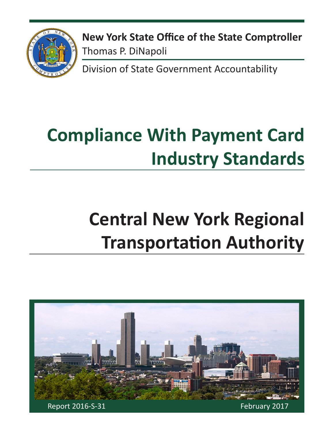

**New York State Office of the State Comptroller** Thomas P. DiNapoli

Division of State Government Accountability

# **Compliance With Payment Card Industry Standards**

# **Central New York Regional Transportation Authority**

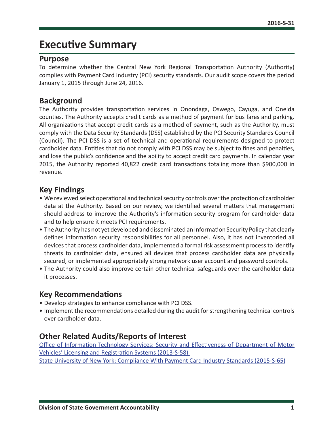# **Executive Summary**

#### **Purpose**

To determine whether the Central New York Regional Transportation Authority (Authority) complies with Payment Card Industry (PCI) security standards. Our audit scope covers the period January 1, 2015 through June 24, 2016.

### **Background**

The Authority provides transportation services in Onondaga, Oswego, Cayuga, and Oneida counties. The Authority accepts credit cards as a method of payment for bus fares and parking. All organizations that accept credit cards as a method of payment, such as the Authority, must comply with the Data Security Standards (DSS) established by the PCI Security Standards Council (Council). The PCI DSS is a set of technical and operational requirements designed to protect cardholder data. Entities that do not comply with PCI DSS may be subject to fines and penalties, and lose the public's confidence and the ability to accept credit card payments. In calendar year 2015, the Authority reported 40,822 credit card transactions totaling more than \$900,000 in revenue.

## **Key Findings**

- We reviewed select operational and technical security controls over the protection of cardholder data at the Authority. Based on our review, we identified several matters that management should address to improve the Authority's information security program for cardholder data and to help ensure it meets PCI requirements.
- The Authority has not yet developed and disseminated an Information Security Policy that clearly defines information security responsibilities for all personnel. Also, it has not inventoried all devices that process cardholder data, implemented a formal risk assessment process to identify threats to cardholder data, ensured all devices that process cardholder data are physically secured, or implemented appropriately strong network user account and password controls.
- The Authority could also improve certain other technical safeguards over the cardholder data it processes.

## **Key Recommendations**

- Develop strategies to enhance compliance with PCI DSS.
- Implement the recommendations detailed during the audit for strengthening technical controls over cardholder data.

## **Other Related Audits/Reports of Interest**

[Office of Information Technology Services: Security and Effectiveness of Department of Motor](http://osc.state.ny.us/audits/allaudits/093014/13s58.pdf) [Vehicles' Licensing and Registration Systems \(2013-S-58\)](http://osc.state.ny.us/audits/allaudits/093014/13s58.pdf) 

[State University of New York: Compliance With Payment Card Industry Standards \(2015-S-65\)](http://osc.state.ny.us/audits/allaudits/093016/15s65.pdf)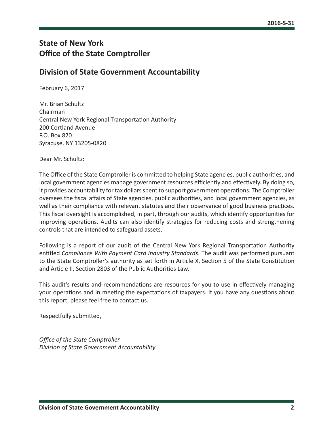## **State of New York Office of the State Comptroller**

## **Division of State Government Accountability**

February 6, 2017

Mr. Brian Schultz Chairman Central New York Regional Transportation Authority 200 Cortland Avenue P.O. Box 820 Syracuse, NY 13205-0820

Dear Mr. Schultz:

The Office of the State Comptroller is committed to helping State agencies, public authorities, and local government agencies manage government resources efficiently and effectively. By doing so, it provides accountability for tax dollars spent to support government operations. The Comptroller oversees the fiscal affairs of State agencies, public authorities, and local government agencies, as well as their compliance with relevant statutes and their observance of good business practices. This fiscal oversight is accomplished, in part, through our audits, which identify opportunities for improving operations. Audits can also identify strategies for reducing costs and strengthening controls that are intended to safeguard assets.

Following is a report of our audit of the Central New York Regional Transportation Authority entitled *Compliance With Payment Card Industry Standards*. The audit was performed pursuant to the State Comptroller's authority as set forth in Article X, Section 5 of the State Constitution and Article II, Section 2803 of the Public Authorities Law.

This audit's results and recommendations are resources for you to use in effectively managing your operations and in meeting the expectations of taxpayers. If you have any questions about this report, please feel free to contact us.

Respectfully submitted,

*Office of the State Comptroller Division of State Government Accountability*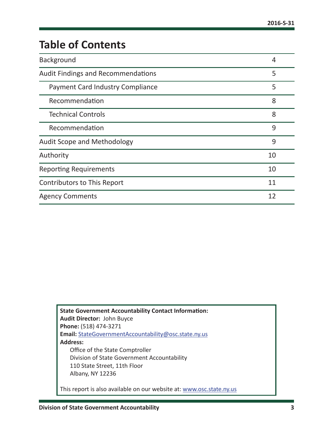# **Table of Contents**

| Background                                | 4  |
|-------------------------------------------|----|
| <b>Audit Findings and Recommendations</b> | 5  |
| <b>Payment Card Industry Compliance</b>   | 5  |
| Recommendation                            | 8  |
| <b>Technical Controls</b>                 | 8  |
| Recommendation                            | 9  |
| Audit Scope and Methodology               | 9  |
| Authority                                 | 10 |
| <b>Reporting Requirements</b>             | 10 |
| Contributors to This Report               | 11 |
| <b>Agency Comments</b>                    | 12 |

**State Government Accountability Contact Information: Audit Director:** John Buyce **Phone:** (518) 474-3271 **Email:** [StateGovernmentAccountability@osc.state.ny.us](mailto:StateGovernmentAccountability%40osc.state.ny.us?subject=) **Address:** Office of the State Comptroller Division of State Government Accountability 110 State Street, 11th Floor Albany, NY 12236 This report is also available on our website at: [www.osc.state.ny.us](http://www.osc.state.ny.us)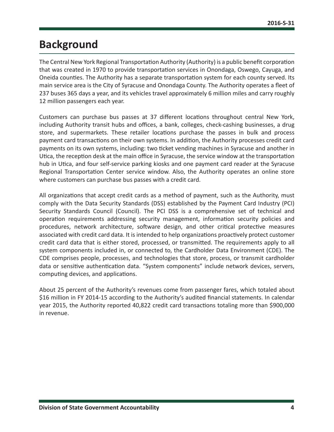# <span id="page-4-0"></span>**Background**

The Central New York Regional Transportation Authority (Authority) is a public benefit corporation that was created in 1970 to provide transportation services in Onondaga, Oswego, Cayuga, and Oneida counties. The Authority has a separate transportation system for each county served. Its main service area is the City of Syracuse and Onondaga County. The Authority operates a fleet of 237 buses 365 days a year, and its vehicles travel approximately 6 million miles and carry roughly 12 million passengers each year.

Customers can purchase bus passes at 37 different locations throughout central New York, including Authority transit hubs and offices, a bank, colleges, check-cashing businesses, a drug store, and supermarkets. These retailer locations purchase the passes in bulk and process payment card transactions on their own systems. In addition, the Authority processes credit card payments on its own systems, including: two ticket vending machines in Syracuse and another in Utica, the reception desk at the main office in Syracuse, the service window at the transportation hub in Utica, and four self-service parking kiosks and one payment card reader at the Syracuse Regional Transportation Center service window. Also, the Authority operates an online store where customers can purchase bus passes with a credit card.

All organizations that accept credit cards as a method of payment, such as the Authority, must comply with the Data Security Standards (DSS) established by the Payment Card Industry (PCI) Security Standards Council (Council). The PCI DSS is a comprehensive set of technical and operation requirements addressing security management, information security policies and procedures, network architecture, software design, and other critical protective measures associated with credit card data. It is intended to help organizations proactively protect customer credit card data that is either stored, processed, or transmitted. The requirements apply to all system components included in, or connected to, the Cardholder Data Environment (CDE). The CDE comprises people, processes, and technologies that store, process, or transmit cardholder data or sensitive authentication data. "System components" include network devices, servers, computing devices, and applications.

About 25 percent of the Authority's revenues come from passenger fares, which totaled about \$16 million in FY 2014-15 according to the Authority's audited financial statements. In calendar year 2015, the Authority reported 40,822 credit card transactions totaling more than \$900,000 in revenue.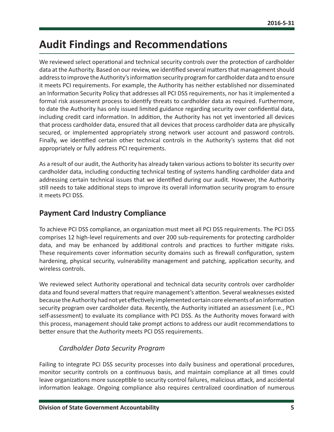# <span id="page-5-0"></span>**Audit Findings and Recommendations**

We reviewed select operational and technical security controls over the protection of cardholder data at the Authority. Based on our review, we identified several matters that management should address to improve the Authority's information security program for cardholder data and to ensure it meets PCI requirements. For example, the Authority has neither established nor disseminated an Information Security Policy that addresses all PCI DSS requirements, nor has it implemented a formal risk assessment process to identify threats to cardholder data as required. Furthermore, to date the Authority has only issued limited guidance regarding security over confidential data, including credit card information. In addition, the Authority has not yet inventoried all devices that process cardholder data, ensured that all devices that process cardholder data are physically secured, or implemented appropriately strong network user account and password controls. Finally, we identified certain other technical controls in the Authority's systems that did not appropriately or fully address PCI requirements.

As a result of our audit, the Authority has already taken various actions to bolster its security over cardholder data, including conducting technical testing of systems handling cardholder data and addressing certain technical issues that we identified during our audit. However, the Authority still needs to take additional steps to improve its overall information security program to ensure it meets PCI DSS.

## **Payment Card Industry Compliance**

To achieve PCI DSS compliance, an organization must meet all PCI DSS requirements. The PCI DSS comprises 12 high-level requirements and over 200 sub-requirements for protecting cardholder data, and may be enhanced by additional controls and practices to further mitigate risks. These requirements cover information security domains such as firewall configuration, system hardening, physical security, vulnerability management and patching, application security, and wireless controls.

We reviewed select Authority operational and technical data security controls over cardholder data and found several matters that require management's attention. Several weaknesses existed because the Authority had not yet effectively implemented certain core elements of an information security program over cardholder data. Recently, the Authority initiated an assessment (i.e., PCI self-assessment) to evaluate its compliance with PCI DSS. As the Authority moves forward with this process, management should take prompt actions to address our audit recommendations to better ensure that the Authority meets PCI DSS requirements.

## *Cardholder Data Security Program*

Failing to integrate PCI DSS security processes into daily business and operational procedures, monitor security controls on a continuous basis, and maintain compliance at all times could leave organizations more susceptible to security control failures, malicious attack, and accidental information leakage. Ongoing compliance also requires centralized coordination of numerous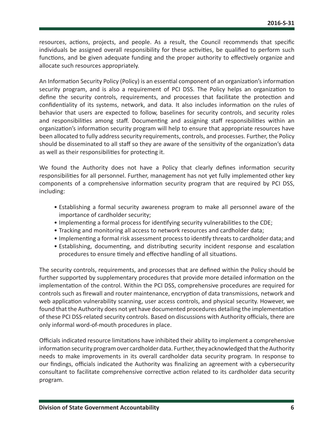resources, actions, projects, and people. As a result, the Council recommends that specific individuals be assigned overall responsibility for these activities, be qualified to perform such functions, and be given adequate funding and the proper authority to effectively organize and allocate such resources appropriately.

An Information Security Policy (Policy) is an essential component of an organization's information security program, and is also a requirement of PCI DSS. The Policy helps an organization to define the security controls, requirements, and processes that facilitate the protection and confidentiality of its systems, network, and data. It also includes information on the rules of behavior that users are expected to follow, baselines for security controls, and security roles and responsibilities among staff. Documenting and assigning staff responsibilities within an organization's information security program will help to ensure that appropriate resources have been allocated to fully address security requirements, controls, and processes. Further, the Policy should be disseminated to all staff so they are aware of the sensitivity of the organization's data as well as their responsibilities for protecting it.

We found the Authority does not have a Policy that clearly defines information security responsibilities for all personnel. Further, management has not yet fully implemented other key components of a comprehensive information security program that are required by PCI DSS, including:

- Establishing a formal security awareness program to make all personnel aware of the importance of cardholder security;
- Implementing a formal process for identifying security vulnerabilities to the CDE;
- Tracking and monitoring all access to network resources and cardholder data;
- Implementing a formal risk assessment process to identify threats to cardholder data; and
- Establishing, documenting, and distributing security incident response and escalation procedures to ensure timely and effective handling of all situations.

The security controls, requirements, and processes that are defined within the Policy should be further supported by supplementary procedures that provide more detailed information on the implementation of the control. Within the PCI DSS, comprehensive procedures are required for controls such as firewall and router maintenance, encryption of data transmissions, network and web application vulnerability scanning, user access controls, and physical security. However, we found that the Authority does not yet have documented procedures detailing the implementation of these PCI DSS-related security controls. Based on discussions with Authority officials, there are only informal word-of-mouth procedures in place.

Officials indicated resource limitations have inhibited their ability to implement a comprehensive information security program over cardholder data. Further, they acknowledged that the Authority needs to make improvements in its overall cardholder data security program. In response to our findings, officials indicated the Authority was finalizing an agreement with a cybersecurity consultant to facilitate comprehensive corrective action related to its cardholder data security program.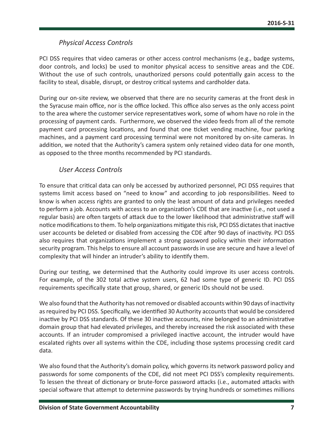#### *Physical Access Controls*

PCI DSS requires that video cameras or other access control mechanisms (e.g., badge systems, door controls, and locks) be used to monitor physical access to sensitive areas and the CDE. Without the use of such controls, unauthorized persons could potentially gain access to the facility to steal, disable, disrupt, or destroy critical systems and cardholder data.

During our on-site review, we observed that there are no security cameras at the front desk in the Syracuse main office, nor is the office locked. This office also serves as the only access point to the area where the customer service representatives work, some of whom have no role in the processing of payment cards. Furthermore, we observed the video feeds from all of the remote payment card processing locations, and found that one ticket vending machine, four parking machines, and a payment card processing terminal were not monitored by on-site cameras. In addition, we noted that the Authority's camera system only retained video data for one month, as opposed to the three months recommended by PCI standards.

#### *User Access Controls*

To ensure that critical data can only be accessed by authorized personnel, PCI DSS requires that systems limit access based on "need to know" and according to job responsibilities. Need to know is when access rights are granted to only the least amount of data and privileges needed to perform a job. Accounts with access to an organization's CDE that are inactive (i.e., not used a regular basis) are often targets of attack due to the lower likelihood that administrative staff will notice modifications to them. To help organizations mitigate this risk, PCI DSS dictates that inactive user accounts be deleted or disabled from accessing the CDE after 90 days of inactivity. PCI DSS also requires that organizations implement a strong password policy within their information security program. This helps to ensure all account passwords in use are secure and have a level of complexity that will hinder an intruder's ability to identify them.

During our testing, we determined that the Authority could improve its user access controls. For example, of the 302 total active system users, 62 had some type of generic ID. PCI DSS requirements specifically state that group, shared, or generic IDs should not be used.

We also found that the Authority has not removed or disabled accounts within 90 days of inactivity as required by PCI DSS. Specifically, we identified 30 Authority accounts that would be considered inactive by PCI DSS standards. Of these 30 inactive accounts, nine belonged to an administrative domain group that had elevated privileges, and thereby increased the risk associated with these accounts. If an intruder compromised a privileged inactive account, the intruder would have escalated rights over all systems within the CDE, including those systems processing credit card data.

We also found that the Authority's domain policy, which governs its network password policy and passwords for some components of the CDE, did not meet PCI DSS's complexity requirements. To lessen the threat of dictionary or brute-force password attacks (i.e., automated attacks with special software that attempt to determine passwords by trying hundreds or sometimes millions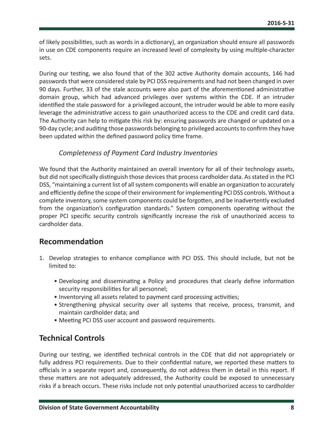<span id="page-8-0"></span>of likely possibilities, such as words in a dictionary), an organization should ensure all passwords in use on CDE components require an increased level of complexity by using multiple‑character sets.

During our testing, we also found that of the 302 active Authority domain accounts, 146 had passwords that were considered stale by PCI DSS requirements and had not been changed in over 90 days. Further, 33 of the stale accounts were also part of the aforementioned administrative domain group, which had advanced privileges over systems within the CDE. If an intruder identified the stale password for a privileged account, the intruder would be able to more easily leverage the administrative access to gain unauthorized access to the CDE and credit card data. The Authority can help to mitigate this risk by: ensuring passwords are changed or updated on a 90-day cycle; and auditing those passwords belonging to privileged accounts to confirm they have been updated within the defined password policy time frame.

#### *Completeness of Payment Card Industry Inventories*

We found that the Authority maintained an overall inventory for all of their technology assets, but did not specifically distinguish those devices that process cardholder data. As stated in the PCI DSS, "maintaining a current list of all system components will enable an organization to accurately and efficiently define the scope of their environment for implementing PCI DSS controls. Without a complete inventory, some system components could be forgotten, and be inadvertently excluded from the organization's configuration standards." System components operating without the proper PCI specific security controls significantly increase the risk of unauthorized access to cardholder data.

## **Recommendation**

- 1. Develop strategies to enhance compliance with PCI DSS. This should include, but not be limited to:
	- Developing and disseminating a Policy and procedures that clearly define information security responsibilities for all personnel;
	- Inventorying all assets related to payment card processing activities;
	- Strengthening physical security over all systems that receive, process, transmit, and maintain cardholder data; and
	- Meeting PCI DSS user account and password requirements.

## **Technical Controls**

During our testing, we identified technical controls in the CDE that did not appropriately or fully address PCI requirements. Due to their confidential nature, we reported these matters to officials in a separate report and, consequently, do not address them in detail in this report. If these matters are not adequately addressed, the Authority could be exposed to unnecessary risks if a breach occurs. These risks include not only potential unauthorized access to cardholder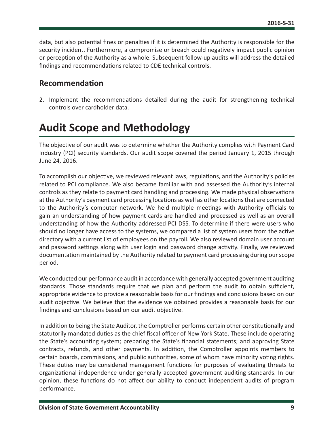<span id="page-9-0"></span>data, but also potential fines or penalties if it is determined the Authority is responsible for the security incident. Furthermore, a compromise or breach could negatively impact public opinion or perception of the Authority as a whole. Subsequent follow-up audits will address the detailed findings and recommendations related to CDE technical controls.

#### **Recommendation**

2. Implement the recommendations detailed during the audit for strengthening technical controls over cardholder data.

# **Audit Scope and Methodology**

The objective of our audit was to determine whether the Authority complies with Payment Card Industry (PCI) security standards. Our audit scope covered the period January 1, 2015 through June 24, 2016.

To accomplish our objective, we reviewed relevant laws, regulations, and the Authority's policies related to PCI compliance. We also became familiar with and assessed the Authority's internal controls as they relate to payment card handling and processing. We made physical observations at the Authority's payment card processing locations as well as other locations that are connected to the Authority's computer network. We held multiple meetings with Authority officials to gain an understanding of how payment cards are handled and processed as well as an overall understanding of how the Authority addressed PCI DSS. To determine if there were users who should no longer have access to the systems, we compared a list of system users from the active directory with a current list of employees on the payroll. We also reviewed domain user account and password settings along with user login and password change activity. Finally, we reviewed documentation maintained by the Authority related to payment card processing during our scope period.

We conducted our performance audit in accordance with generally accepted government auditing standards. Those standards require that we plan and perform the audit to obtain sufficient, appropriate evidence to provide a reasonable basis for our findings and conclusions based on our audit objective. We believe that the evidence we obtained provides a reasonable basis for our findings and conclusions based on our audit objective.

In addition to being the State Auditor, the Comptroller performs certain other constitutionally and statutorily mandated duties as the chief fiscal officer of New York State. These include operating the State's accounting system; preparing the State's financial statements; and approving State contracts, refunds, and other payments. In addition, the Comptroller appoints members to certain boards, commissions, and public authorities, some of whom have minority voting rights. These duties may be considered management functions for purposes of evaluating threats to organizational independence under generally accepted government auditing standards. In our opinion, these functions do not affect our ability to conduct independent audits of program performance.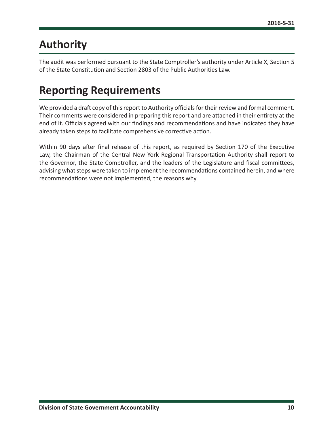# <span id="page-10-0"></span>**Authority**

The audit was performed pursuant to the State Comptroller's authority under Article X, Section 5 of the State Constitution and Section 2803 of the Public Authorities Law.

# **Reporting Requirements**

We provided a draft copy of this report to Authority officials for their review and formal comment. Their comments were considered in preparing this report and are attached in their entirety at the end of it. Officials agreed with our findings and recommendations and have indicated they have already taken steps to facilitate comprehensive corrective action.

Within 90 days after final release of this report, as required by Section 170 of the Executive Law, the Chairman of the Central New York Regional Transportation Authority shall report to the Governor, the State Comptroller, and the leaders of the Legislature and fiscal committees, advising what steps were taken to implement the recommendations contained herein, and where recommendations were not implemented, the reasons why.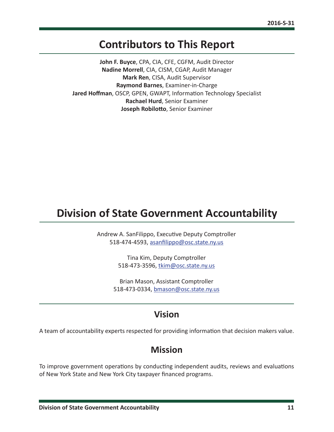# **Contributors to This Report**

<span id="page-11-0"></span>**John F. Buyce**, CPA, CIA, CFE, CGFM, Audit Director **Nadine Morrell**, CIA, CISM, CGAP, Audit Manager **Mark Ren**, CISA, Audit Supervisor **Raymond Barnes**, Examiner-in-Charge **Jared Hoffman**, OSCP, GPEN, GWAPT, Information Technology Specialist **Rachael Hurd**, Senior Examiner **Joseph Robilotto**, Senior Examiner

# **Division of State Government Accountability**

Andrew A. SanFilippo, Executive Deputy Comptroller 518-474-4593, [asanfilippo@osc.state.ny.us](mailto:asanfilippo%40osc.state.ny.us%0D?subject=)

> Tina Kim, Deputy Comptroller 518-473-3596, [tkim@osc.state.ny.us](mailto:tkim%40osc.state.ny.us?subject=)

Brian Mason, Assistant Comptroller 518-473-0334, [bmason@osc.state.ny.us](mailto:bmason%40osc.state.ny.us?subject=)

## **Vision**

A team of accountability experts respected for providing information that decision makers value.

## **Mission**

To improve government operations by conducting independent audits, reviews and evaluations of New York State and New York City taxpayer financed programs.